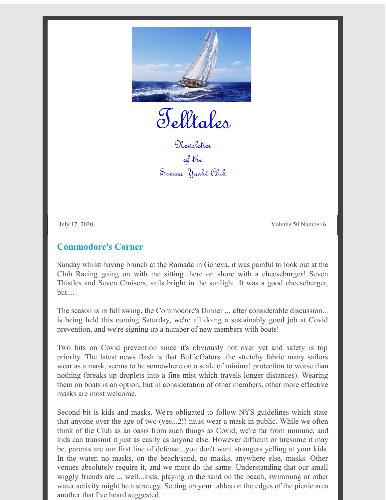

Telltales

Newsletter of the Seneca Yacht Club

July 17, 2020 Volume 50 Number 6

#### **Commodore's Corner**

Sunday whilst having brunch at the Ramada in Geneva, it was painful to look out at the Club Racing going on with me sitting there on shore with a cheeseburger! Seven Thistles and Seven Cruisers, sails bright in the sunlight. It was a good cheeseburger, but....

The season is in full swing, the Commodore's Dinner ... after considerable discussion... is being held this coming Saturday, we're all doing a sustainably good job at Covid prevention, and we're signing up a number of new members with boats!

Two bits on Covid prevention since it's obviously not over yet and safety is top priority. The latest news flash is that Buffs/Gators...the stretchy fabric many sailors wear as a mask, seems to be somewhere on a scale of minimal protection to worse than nothing (breaks up droplets into a fine mist which travels longer distances). Wearing them on boats is an option, but in consideration of other members, other more effective masks are most welcome.

Second bit is kids and masks. We're obligated to follow NYS guidelines which state that anyone over the age of two (yes...2!) must wear a mask in public. While we often think of the Club as an oasis from such things as Covid, we're far from immune, and kids can transmit it just as easily as anyone else. However difficult or tiresome it may be, parents are our first line of defense...you don't want strangers yelling at your kids. In the water, no masks, on the beach/sand, no masks, anywhere else, masks. Other venues absolutely require it, and we must do the same. Understanding that our small wiggly friends are ... well...kids, playing in the sand on the beach, swimming or other water activity might be a strategy. Setting up your tables on the edges of the picnic area another that I've heard suggested.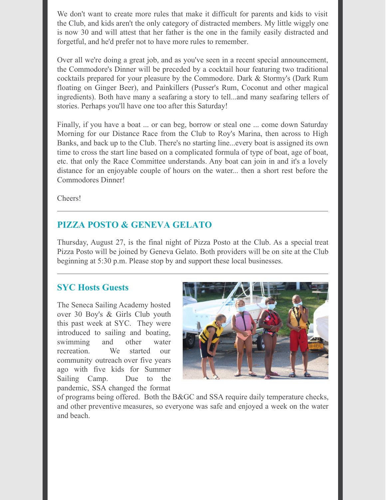We don't want to create more rules that make it difficult for parents and kids to visit the Club, and kids aren't the only category of distracted members. My little wiggly one is now 30 and will attest that her father is the one in the family easily distracted and forgetful, and he'd prefer not to have more rules to remember.

Over all we're doing a great job, and as you've seen in a recent special announcement, the Commodore's Dinner will be preceded by a cocktail hour featuring two traditional cocktails prepared for your pleasure by the Commodore. Dark & Stormy's (Dark Rum floating on Ginger Beer), and Painkillers (Pusser's Rum, Coconut and other magical ingredients). Both have many a seafaring a story to tell...and many seafaring tellers of stories. Perhaps you'll have one too after this Saturday!

Finally, if you have a boat ... or can beg, borrow or steal one ... come down Saturday Morning for our Distance Race from the Club to Roy's Marina, then across to High Banks, and back up to the Club. There's no starting line...every boat is assigned its own time to cross the start line based on a complicated formula of type of boat, age of boat, etc. that only the Race Committee understands. Any boat can join in and it's a lovely distance for an enjoyable couple of hours on the water... then a short rest before the Commodores Dinner!

Cheers!

# **PIZZA POSTO & GENEVA GELATO**

Thursday, August 27, is the final night of Pizza Posto at the Club. As a special treat Pizza Posto will be joined by Geneva Gelato. Both providers will be on site at the Club beginning at 5:30 p.m. Please stop by and support these local businesses.

### **SYC Hosts Guests**

The Seneca Sailing Academy hosted over 30 Boy's & Girls Club youth this past week at SYC. They were introduced to sailing and boating, swimming and other water recreation. We started our community outreach over five years ago with five kids for Summer Sailing Camp. Due to the pandemic, SSA changed the format



of programs being offered. Both the B&GC and SSA require daily temperature checks, and other preventive measures, so everyone was safe and enjoyed a week on the water and beach.